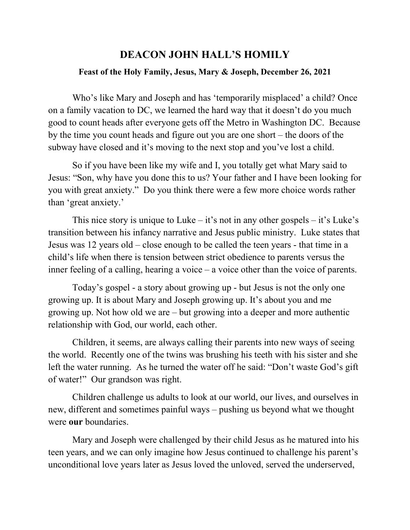## **DEACON JOHN HALL'S HOMILY Feast of the Holy Family, Jesus, Mary & Joseph, December 26, 2021**

Who's like Mary and Joseph and has 'temporarily misplaced' a child? Once on a family vacation to DC, we learned the hard way that it doesn't do you much good to count heads after everyone gets off the Metro in Washington DC. Because by the time you count heads and figure out you are one short – the doors of the subway have closed and it's moving to the next stop and you've lost a child.

So if you have been like my wife and I, you totally get what Mary said to Jesus: "Son, why have you done this to us? Your father and I have been looking for you with great anxiety." Do you think there were a few more choice words rather than 'great anxiety.'

This nice story is unique to Luke – it's not in any other gospels – it's Luke's transition between his infancy narrative and Jesus public ministry. Luke states that Jesus was 12 years old – close enough to be called the teen years - that time in a child's life when there is tension between strict obedience to parents versus the inner feeling of a calling, hearing a voice – a voice other than the voice of parents.

Today's gospel - a story about growing up - but Jesus is not the only one growing up. It is about Mary and Joseph growing up. It's about you and me growing up. Not how old we are – but growing into a deeper and more authentic relationship with God, our world, each other.

Children, it seems, are always calling their parents into new ways of seeing the world. Recently one of the twins was brushing his teeth with his sister and she left the water running. As he turned the water off he said: "Don't waste God's gift of water!" Our grandson was right.

Children challenge us adults to look at our world, our lives, and ourselves in new, different and sometimes painful ways – pushing us beyond what we thought were **our** boundaries.

Mary and Joseph were challenged by their child Jesus as he matured into his teen years, and we can only imagine how Jesus continued to challenge his parent's unconditional love years later as Jesus loved the unloved, served the underserved,